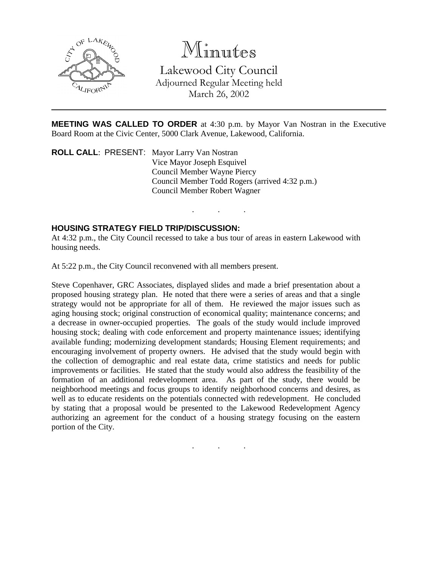

## Minutes

Lakewood City Council Adjourned Regular Meeting held March 26, 2002

**MEETING WAS CALLED TO ORDER** at 4:30 p.m. by Mayor Van Nostran in the Executive Board Room at the Civic Center, 5000 Clark Avenue, Lakewood, California.

. . .

**ROLL CALL**: PRESENT: Mayor Larry Van Nostran Vice Mayor Joseph Esquivel Council Member Wayne Piercy Council Member Todd Rogers (arrived 4:32 p.m.) Council Member Robert Wagner

## **HOUSING STRATEGY FIELD TRIP/DISCUSSION:**

At 4:32 p.m., the City Council recessed to take a bus tour of areas in eastern Lakewood with housing needs.

At 5:22 p.m., the City Council reconvened with all members present.

Steve Copenhaver, GRC Associates, displayed slides and made a brief presentation about a proposed housing strategy plan. He noted that there were a series of areas and that a single strategy would not be appropriate for all of them. He reviewed the major issues such as aging housing stock; original construction of economical quality; maintenance concerns; and a decrease in owner-occupied properties. The goals of the study would include improved housing stock; dealing with code enforcement and property maintenance issues; identifying available funding; modernizing development standards; Housing Element requirements; and encouraging involvement of property owners. He advised that the study would begin with the collection of demographic and real estate data, crime statistics and needs for public improvements or facilities. He stated that the study would also address the feasibility of the formation of an additional redevelopment area. As part of the study, there would be neighborhood meetings and focus groups to identify neighborhood concerns and desires, as well as to educate residents on the potentials connected with redevelopment. He concluded by stating that a proposal would be presented to the Lakewood Redevelopment Agency authorizing an agreement for the conduct of a housing strategy focusing on the eastern portion of the City.

. . .